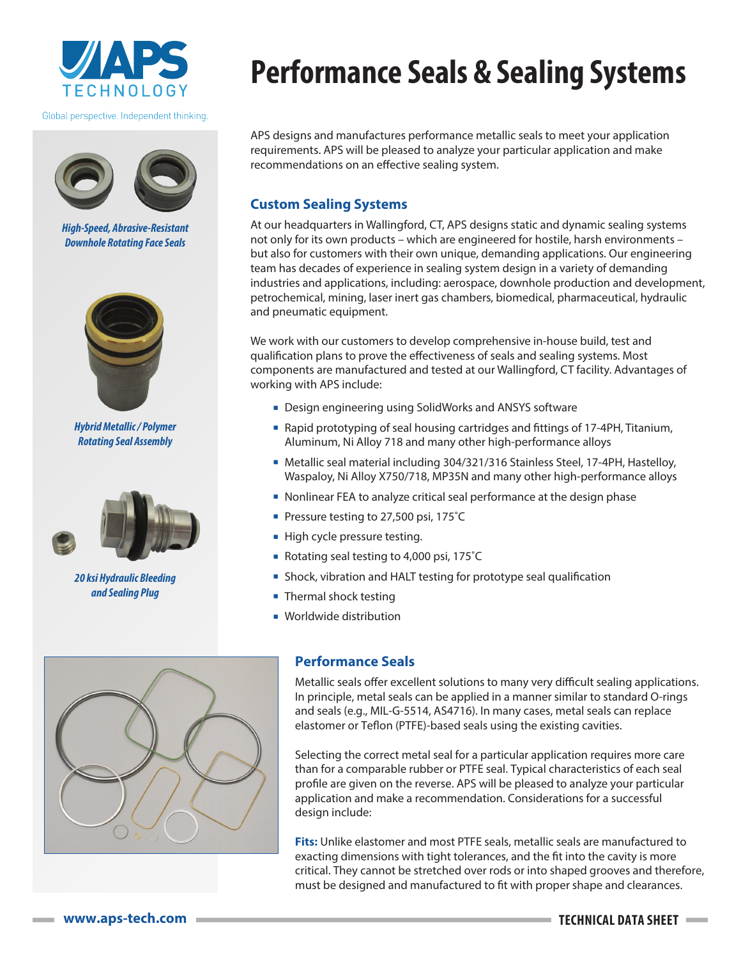

Global perspective. Independent thinking.



*High-Speed, Abrasive-Resistant Downhole Rotating Face Seals*



*Hybrid Metallic / Polymer Rotating Seal Assembly*



*20 ksi Hydraulic Bleeding and Sealing Plug*

## **Performance Seals & Sealing Systems**

APS designs and manufactures performance metallic seals to meet your application requirements. APS will be pleased to analyze your particular application and make recommendations on an effective sealing system.

## **Custom Sealing Systems**

At our headquarters in Wallingford, CT, APS designs static and dynamic sealing systems not only for its own products – which are engineered for hostile, harsh environments – but also for customers with their own unique, demanding applications. Our engineering team has decades of experience in sealing system design in a variety of demanding industries and applications, including: aerospace, downhole production and development, petrochemical, mining, laser inert gas chambers, biomedical, pharmaceutical, hydraulic and pneumatic equipment.

We work with our customers to develop comprehensive in-house build, test and qualification plans to prove the effectiveness of seals and sealing systems. Most components are manufactured and tested at our Wallingford, CT facility. Advantages of working with APS include:

- **Design engineering using SolidWorks and ANSYS software**
- <sup>&</sup>lt; Rapid prototyping of seal housing cartridges and fittings of 17-4PH, Titanium, Aluminum, Ni Alloy 718 and many other high-performance alloys
- Metallic seal material including 304/321/316 Stainless Steel, 17-4PH, Hastelloy, Waspaloy, Ni Alloy X750/718, MP35N and many other high-performance alloys
- Nonlinear FEA to analyze critical seal performance at the design phase
- Pressure testing to 27,500 psi, 175°C
- **High cycle pressure testing.**
- Rotating seal testing to 4,000 psi, 175°C
- **Shock, vibration and HALT testing for prototype seal qualification**
- Thermal shock testing
- **Worldwide distribution**



## **Performance Seals**

Metallic seals offer excellent solutions to many very difficult sealing applications. In principle, metal seals can be applied in a manner similar to standard O-rings and seals (e.g., MIL-G-5514, AS4716). In many cases, metal seals can replace elastomer or Teflon (PTFE)-based seals using the existing cavities.

Selecting the correct metal seal for a particular application requires more care than for a comparable rubber or PTFE seal. Typical characteristics of each seal profile are given on the reverse. APS will be pleased to analyze your particular application and make a recommendation. Considerations for a successful design include:

**Fits:** Unlike elastomer and most PTFE seals, metallic seals are manufactured to exacting dimensions with tight tolerances, and the fit into the cavity is more critical. They cannot be stretched over rods or into shaped grooves and therefore, must be designed and manufactured to fit with proper shape and clearances.